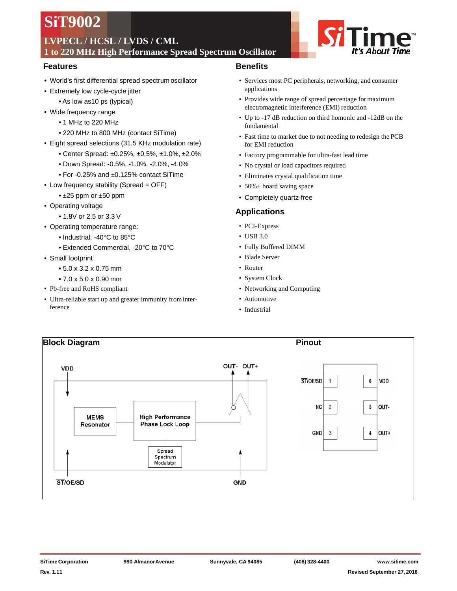# **SiT9002**

## **LVPECL / HCSL / LVDS / CML**

**1 to 220 MHz High Performance Spread Spectrum Oscillator**

## **Features**

- World's first differential spread spectrum oscillator
- Extremely low cycle-cycle jitter
	- As low as10 ps (typical)
- Wide frequency range
	- 1 MHz to 220 MHz
	- 220 MHz to 800 MHz (contact SiTime)
- Eight spread selections (31.5 KHz modulation rate)
	- Center Spread: ±0.25%, ±0.5%, ±1.0%, ±2.0%
	- Down Spread: -0.5%, -1.0%, -2.0%, -4.0%
	- For -0.25% and ±0.125% contact SiTime
- Low frequency stability (Spread = OFF)
	- ±25 ppm or ±50 ppm
- Operating voltage
	- 1.8V or 2.5 or 3.3 V
- Operating temperature range:
	- Industrial, -40°C to 85°C
	- Extended Commercial, -20°C to 70°C
- Small footprint
	- 5.0 x 3.2 x 0.75 mm
	- 7.0 x 5.0 x 0.90 mm
- Pb-free and RoHS compliant
- Ultra-reliable start up and greater immunity frominterference

## **Benefits**

- Services most PC peripherals, networking, and consumer applications
- Provides wide range of spread percentage for maximum electromagnetic interference (EMI) reduction
- Up to -17 dB reduction on third homonic and -12dB on the fundamental
- Fast time to market due to not needing to redesign the PCB for EMI reduction
- Factory programmable for ultra-fast lead time
- No crystal or load capacitors required
- Eliminates crystal qualification time
- 50%+ board saving space
- Completely quartz-free

## **Applications**

- PCI-Express
- USB 3.0
- Fully Buffered DIMM
- Blade Server
- Router
- System Clock
- Networking and Computing
- Automotive
- Industrial

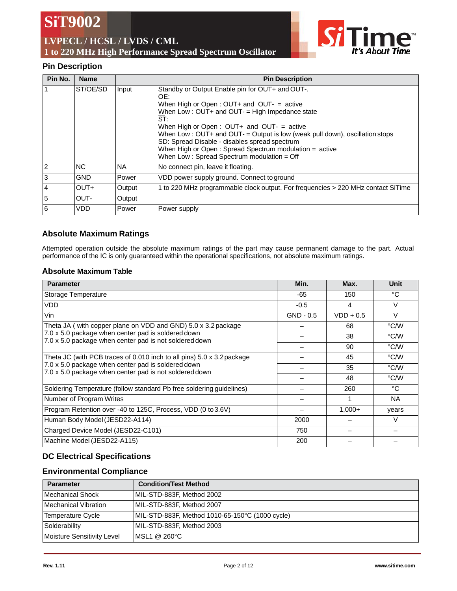**SiT9002**

## **LVPECL / HCSL / LVDS / CML 1 to 220 MHz High Performance Spread Spectrum Oscillator**



## **Pin Description**

| Pin No.  | <b>Name</b> |               | <b>Pin Description</b>                                                                                                                                                                                                                                                                                                                                                                                                                                          |
|----------|-------------|---------------|-----------------------------------------------------------------------------------------------------------------------------------------------------------------------------------------------------------------------------------------------------------------------------------------------------------------------------------------------------------------------------------------------------------------------------------------------------------------|
| 1        | ST/OE/SD    | Input         | Standby or Output Enable pin for OUT+ and OUT-.<br>OF:<br>When High or Open : $OUT+$ and $OUT-$ = active<br>When Low: OUT+ and OUT- = High Impedance state<br>ST:<br>When High or Open : $OUT+$ and $OUT-$ = active<br>When Low: $OUT+$ and $OUT-$ = Output is low (weak pull down), oscillation stops<br>SD: Spread Disable - disables spread spectrum<br>When High or Open: Spread Spectrum modulation = active<br>When Low: Spread Spectrum modulation = Off |
| <b>2</b> | <b>NC</b>   | <b>NA</b>     | No connect pin, leave it floating.                                                                                                                                                                                                                                                                                                                                                                                                                              |
| 3        | <b>GND</b>  | <b>IPower</b> | VDD power supply ground. Connect to ground                                                                                                                                                                                                                                                                                                                                                                                                                      |
| 4        | OUT+        | Output        | 1 to 220 MHz programmable clock output. For frequencies > 220 MHz contact SiTime                                                                                                                                                                                                                                                                                                                                                                                |
| 5        | OUT-        | Output        |                                                                                                                                                                                                                                                                                                                                                                                                                                                                 |
| 6        | <b>VDD</b>  | <b>Power</b>  | Power supply                                                                                                                                                                                                                                                                                                                                                                                                                                                    |

## **Absolute Maximum Ratings**

Attempted operation outside the absolute maximum ratings of the part may cause permanent damage to the part. Actual performance of the IC is only guaranteed within the operational specifications, not absolute maximum ratings.

#### **Absolute Maximum Table**

| <b>Parameter</b>                                                                                             | Min.        | Max.        | Unit   |
|--------------------------------------------------------------------------------------------------------------|-------------|-------------|--------|
| Storage Temperature                                                                                          | -65         | 150         | °C     |
| <b>VDD</b>                                                                                                   | $-0.5$      | 4           | V      |
| Vin                                                                                                          | $GND - 0.5$ | $VDD + 0.5$ | $\vee$ |
| Theta JA (with copper plane on VDD and GND) 5.0 x 3.2 package                                                |             | 68          | °C/W   |
| 7.0 x 5.0 package when center pad is soldered down<br>7.0 x 5.0 package when center pad is not soldered down |             | 38          | °C/W   |
|                                                                                                              |             | 90          | °C/W   |
| Theta JC (with PCB traces of 0.010 inch to all pins) 5.0 x 3.2 package                                       |             | 45          | °C/W   |
| 7.0 x 5.0 package when center pad is soldered down<br>7.0 x 5.0 package when center pad is not soldered down |             | 35          | °C/W   |
|                                                                                                              |             | 48          | °C/W   |
| Soldering Temperature (follow standard Pb free soldering guidelines)                                         |             | 260         | °C     |
| Number of Program Writes                                                                                     |             |             | NA     |
| Program Retention over -40 to 125C, Process, VDD (0 to 3.6V)                                                 |             | $1,000+$    | years  |
| Human Body Model (JESD22-A114)                                                                               | 2000        |             | V      |
| Charged Device Model (JESD22-C101)                                                                           | 750         |             |        |
| Machine Model (JESD22-A115)                                                                                  | 200         |             |        |

## **DC Electrical Specifications**

## **Environmental Compliance**

| <b>Parameter</b>           | <b>Condition/Test Method</b>                    |
|----------------------------|-------------------------------------------------|
| Mechanical Shock           | MIL-STD-883F, Method 2002                       |
| Mechanical Vibration       | MIL-STD-883F, Method 2007                       |
| <b>Temperature Cycle</b>   | MIL-STD-883F, Method 1010-65-150°C (1000 cycle) |
| Solderability              | MIL-STD-883F, Method 2003                       |
| Moisture Sensitivity Level | IMSL1 @ 260°C                                   |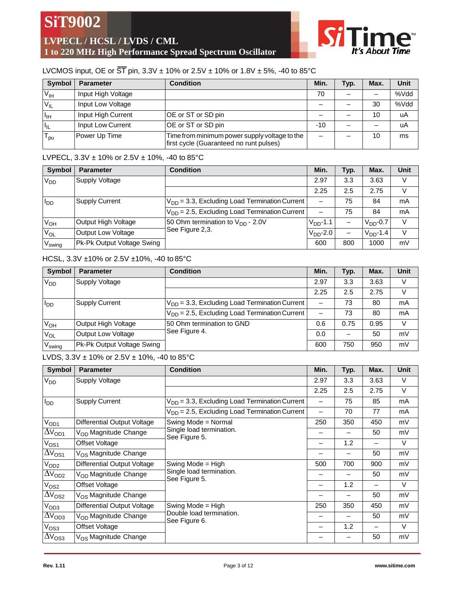**LVPECL / HCSL / LVDS / CML 1 to 220 MHz High Performance Spread Spectrum Oscillator**



## LVCMOS input, OE or  $\overline{ST}$  pin, 3.3V  $\pm$  10% or 2.5V  $\pm$  10% or 1.8V  $\pm$  5%, -40 to 85°C

| <b>Symbol</b>              | <b>Parameter</b>   | <b>Condition</b>                                                                         | Min.  | Typ. | Max. | Unit |
|----------------------------|--------------------|------------------------------------------------------------------------------------------|-------|------|------|------|
| $V_{\text{IH}}$            | Input High Voltage |                                                                                          | 70    |      |      | %Vdd |
| $V_{IL}$                   | Input Low Voltage  |                                                                                          |       |      | 30   | %Vdd |
| Πн                         | Input High Current | OE or ST or SD pin                                                                       |       |      | 10   | uA   |
| $\mathsf{H}_{\mathsf{IL}}$ | Input Low Current  | OE or ST or SD pin                                                                       | $-10$ |      |      | uA   |
| ' pu                       | Power Up Time      | Time from minimum power supply voltage to the<br>first cycle (Guaranteed no runt pulses) | —     |      | 10   | ms   |

## LVPECL,  $3.3V \pm 10\%$  or  $2.5V \pm 10\%$ , -40 to  $85^{\circ}$ C

| <b>Symbol</b>          | <b>Parameter</b>           | <b>Condition</b>                                   | Min.                     | Typ. | Max.        | <b>Unit</b> |
|------------------------|----------------------------|----------------------------------------------------|--------------------------|------|-------------|-------------|
| $V_{DD}$               | Supply Voltage             |                                                    | 2.97                     | 3.3  | 3.63        |             |
|                        |                            |                                                    | 2.25                     | 2.5  | 2.75        |             |
| <b>I</b> <sub>DD</sub> | Supply Current             | $V_{DD}$ = 3.3, Excluding Load Termination Current | $\overline{\phantom{0}}$ | 75   | 84          | mA          |
|                        |                            | $V_{DD}$ = 2.5, Excluding Load Termination Current | —                        | 75   | 84          | mA          |
| $V_{OH}$               | Output High Voltage        | 50 Ohm termination to $V_{DD}$ - 2.0V              | $VDD$ -1.1               |      | $VDD - 0.7$ | $\vee$      |
| $V_{OL}$               | <b>Output Low Voltage</b>  | See Figure 2,3.                                    | $VDD$ -2.0               |      | $VDD$ -1.4  | V           |
| V <sub>swing</sub>     | Pk-Pk Output Voltage Swing |                                                    | 600                      | 800  | 1000        | mV          |

## HCSL, 3.3V ±10% or 2.5V ±10%, -40 to 85°C

| Symbol             | <b>Parameter</b>           | <b>Condition</b>                                   | Min. | Typ. | Max. | Unit |
|--------------------|----------------------------|----------------------------------------------------|------|------|------|------|
| V <sub>DD</sub>    | Supply Voltage             |                                                    | 2.97 | 3.3  | 3.63 |      |
|                    |                            |                                                    | 2.25 | 2.5  | 2.75 |      |
| ססי                | <b>Supply Current</b>      | $V_{DD}$ = 3.3, Excluding Load Termination Current | —    | 73   | 80   | mA   |
|                    |                            | $V_{DD}$ = 2.5, Excluding Load Termination Current | —    | 73   | 80   | mA   |
| $V_{OH}$           | Output High Voltage        | 50 Ohm termination to GND                          | 0.6  | 0.75 | 0.95 | V    |
| Vol                | Output Low Voltage         | See Figure 4.                                      | 0.0  |      | 50   | mV   |
| V <sub>swing</sub> | Pk-Pk Output Voltage Swing |                                                    | 600  | 750  | 950  | mV   |

### LVDS,  $3.3V \pm 10\%$  or  $2.5V \pm 10\%$ , -40 to  $85^{\circ}$ C

| <b>Symbol</b>        | <b>Parameter</b>                   | <b>Condition</b>                                   | Min.                     | Typ. | Max. | <b>Unit</b> |
|----------------------|------------------------------------|----------------------------------------------------|--------------------------|------|------|-------------|
| V <sub>DD</sub>      | Supply Voltage                     |                                                    | 2.97                     | 3.3  | 3.63 | $\vee$      |
|                      |                                    |                                                    | 2.25                     | 2.5  | 2.75 | $\vee$      |
| $I_{DD}$             | <b>Supply Current</b>              | $V_{DD}$ = 3.3, Excluding Load Termination Current |                          | 75   | 85   | mA          |
|                      |                                    | $V_{DD}$ = 2.5, Excluding Load Termination Current | $\overline{\phantom{0}}$ | 70   | 77   | mA          |
| V <sub>OD1</sub>     | <b>Differential Output Voltage</b> | Swing Mode = Normal                                | 250                      | 350  | 450  | mV          |
| $\Delta V_{OD1}$     | V <sub>OD</sub> Magnitude Change   | Single load termination.<br>See Figure 5.          | —                        |      | 50   | mV          |
| $V_{OS1}$            | Offset Voltage                     |                                                    | —                        | 1.2  | —    | V           |
| $\Delta V_{OS1}$     | V <sub>OS</sub> Magnitude Change   |                                                    |                          |      | 50   | mV          |
| V <sub>OD2</sub>     | Differential Output Voltage        | Swing Mode = High                                  | 500                      | 700  | 900  | mV          |
| $\Delta V_{OD2}$     | V <sub>OD</sub> Magnitude Change   | Single load termination.<br>See Figure 5.          | -                        |      | 50   | mV          |
| $V_{OS2}$            | Offset Voltage                     |                                                    | —                        | 1.2  | -    | $\vee$      |
| $\Delta V_{\rm OS2}$ | V <sub>OS</sub> Magnitude Change   |                                                    | —                        |      | 50   | mV          |
| V <sub>OD3</sub>     | Differential Output Voltage        | Swing Mode = High                                  | 250                      | 350  | 450  | mV          |
| $\Delta V_{OD3}$     | V <sub>OD</sub> Magnitude Change   | Double load termination.<br>See Figure 6.          | —                        |      | 50   | mV          |
| V <sub>OS3</sub>     | Offset Voltage                     |                                                    | —                        | 1.2  |      | V           |
| $\Delta V_{\rm OS3}$ | V <sub>OS</sub> Magnitude Change   |                                                    |                          |      | 50   | mV          |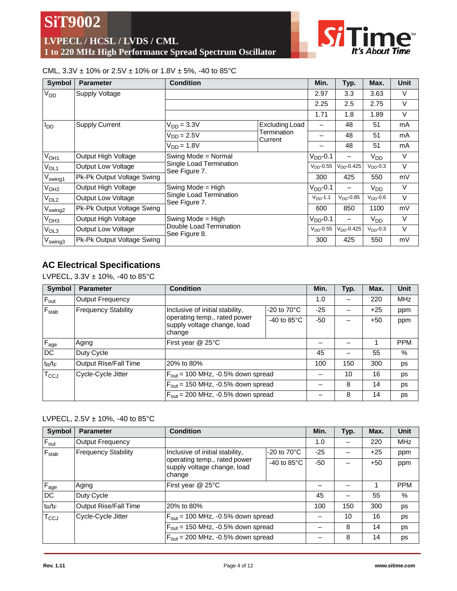**LVPECL / HCSL / LVDS / CML 1 to 220 MHz High Performance Spread Spectrum Oscillator**



## CML,  $3.3V \pm 10\%$  or  $2.5V \pm 10\%$  or  $1.8V \pm 5\%$ , -40 to  $85^{\circ}$ C

| <b>Symbol</b>       | <b>Parameter</b>           | <b>Condition</b>                         |                        | Min.           | Typ.          | Max.            | <b>Unit</b> |
|---------------------|----------------------------|------------------------------------------|------------------------|----------------|---------------|-----------------|-------------|
| V <sub>DD</sub>     | Supply Voltage             |                                          |                        | 2.97           | 3.3           | 3.63            | V           |
|                     |                            |                                          |                        | 2.25           | 2.5           | 2.75            | V           |
|                     |                            |                                          |                        | 1.71           | 1.8           | 1.89            | V           |
| ססי                 | <b>Supply Current</b>      | $V_{DD} = 3.3V$                          | Excluding Load         | -              | 48            | 51              | mA          |
|                     |                            | $V_{DD} = 2.5V$                          | Termination<br>Current |                | 48            | 51              | mA          |
|                     |                            | $VDD = 1.8V$                             | —                      | 48             | 51            | mA              |             |
| $V_{OH1}$           | Output High Voltage        | Swing Mode = Normal                      |                        | $VDD - 0.1$    | —             | $V_{DD}$        | $\vee$      |
| $V_{OL1}$           | <b>Output Low Voltage</b>  | Single Load Termination<br>See Figure 7. |                        | $VDD$ -0.55    | $VDD$ -0.425  | $VDD - 0.3$     | V           |
| V <sub>swing1</sub> | Pk-Pk Output Voltage Swing |                                          |                        | 300            | 425           | 550             | mV          |
| V <sub>OH2</sub>    | Output High Voltage        | Swing Mode = High                        |                        | $V_{DD}$ -0.1  |               | V <sub>DD</sub> | $\vee$      |
| $V_{OL2}$           | <b>Output Low Voltage</b>  | Single Load Termination<br>See Figure 7. |                        | $VDD$ -1.1     | $VDD - 0.85$  | $V_{DD}$ -0.6   | V           |
| $V_{\text{swing2}}$ | Pk-Pk Output Voltage Swing |                                          |                        | 600            | 850           | 1100            | mV          |
| $V_{OH3}$           | Output High Voltage        | Swing Mode = High                        |                        | $VDD - 0.1$    |               | V <sub>DD</sub> | V           |
| V <sub>OL3</sub>    | <b>Output Low Voltage</b>  | Double Load Termination<br>See Figure 8. |                        | $V_{DD}$ -0.55 | $VDD - 0.425$ | $VDD - 0.3$     | V           |
| $V_{\sf swing3}$    | Pk-Pk Output Voltage Swing |                                          |                        | 300            | 425           | 550             | mV          |

## **AC Electrical Specifications**

LVPECL,  $3.3V \pm 10\%$ , -40 to  $85^{\circ}$ C

| <b>Symbol</b>    | <b>Parameter</b>           | <b>Condition</b>                                                      |                                               | Min.  | Typ. | Max.  | <b>Unit</b> |
|------------------|----------------------------|-----------------------------------------------------------------------|-----------------------------------------------|-------|------|-------|-------------|
| $F_{\text{out}}$ | <b>Output Frequency</b>    |                                                                       |                                               |       |      | 220   | <b>MHz</b>  |
| $F_{stab}$       | <b>Frequency Stability</b> | Inclusive of initial stability,                                       | $-20$ to $70^{\circ}$ C                       | $-25$ |      | $+25$ | ppm         |
|                  |                            | operating temp., rated power<br>supply voltage change, load<br>change | $-40$ to 85 $\degree$ C                       | $-50$ |      | $+50$ | ppm         |
| $F_{\text{age}}$ | Aging                      | First year @ 25°C                                                     |                                               |       |      |       | <b>PPM</b>  |
| DC               | Duty Cycle                 |                                                                       |                                               | 45    |      | 55    | $\%$        |
| $t_R/t_F$        | Output Rise/Fall Time      | 20% to 80%                                                            |                                               | 100   | 150  | 300   | ps          |
| $T_{\rm CCJ}$    | Cycle-Cycle Jitter         |                                                                       | $F_{\text{out}}$ = 100 MHz, -0.5% down spread |       | 10   | 16    | ps          |
|                  |                            | $F_{\text{out}}$ = 150 MHz, -0.5% down spread                         |                                               |       | 8    | 14    | ps          |
|                  |                            | $F_{\text{out}}$ = 200 MHz, -0.5% down spread                         |                                               |       | 8    | 14    | ps          |

## LVPECL,  $2.5V \pm 10\%$ , -40 to  $85^{\circ}$ C

| Symbol           | <b>Parameter</b>             | <b>Condition</b>                                                                           |                                               | Min. | Typ.  | Max.  | Unit       |
|------------------|------------------------------|--------------------------------------------------------------------------------------------|-----------------------------------------------|------|-------|-------|------------|
| $F_{\text{out}}$ | <b>Output Frequency</b>      |                                                                                            |                                               | 1.0  |       | 220   | <b>MHz</b> |
| $F_{stab}$       | <b>Frequency Stability</b>   | $-20$ to $70^{\circ}$ C<br>Inclusive of initial stability,<br>operating temp., rated power | $-25$                                         |      | $+25$ | ppm   |            |
|                  |                              | supply voltage change, load<br>change                                                      | $-40$ to $85^{\circ}$ C                       | -50  |       | $+50$ | ppm        |
| $F_{age}$        | Aging                        | First year @ 25°C                                                                          |                                               |      |       |       | <b>PPM</b> |
| <b>DC</b>        | Duty Cycle                   |                                                                                            |                                               | 45   |       | 55    | $\%$       |
| $t_R/t_F$        | <b>Output Rise/Fall Time</b> | 20% to 80%                                                                                 |                                               | 100  | 150   | 300   | ps         |
| $T_{CCJ}$        | Cycle-Cycle Jitter           |                                                                                            | $F_{\text{out}}$ = 100 MHz, -0.5% down spread |      | 10    | 16    | ps         |
|                  |                              | $F_{\text{out}}$ = 150 MHz, -0.5% down spread                                              |                                               |      | 8     | 14    | ps         |
|                  |                              | $F_{\text{out}}$ = 200 MHz, -0.5% down spread                                              |                                               |      | 8     | 14    | ps         |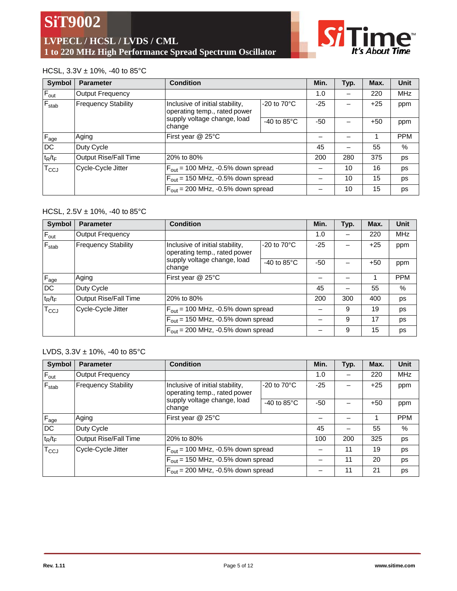

## HCSL, 3.3V ± 10%, -40 to 85°C

| Symbol                      | <b>Parameter</b>           | <b>Condition</b>                                                                                                                                             |                                               | Min.  | Typ.  | Max.  | <b>Unit</b> |
|-----------------------------|----------------------------|--------------------------------------------------------------------------------------------------------------------------------------------------------------|-----------------------------------------------|-------|-------|-------|-------------|
| $F_{\text{out}}$            | <b>Output Frequency</b>    |                                                                                                                                                              |                                               |       |       | 220   | <b>MHz</b>  |
| $F_{stab}$                  | <b>Frequency Stability</b> | $-20$ to $70^{\circ}$ C<br>Inclusive of initial stability,<br>operating temp., rated power<br>supply voltage change, load<br>-40 to $85^{\circ}$ C<br>change | $-25$                                         |       | $+25$ | ppm   |             |
|                             |                            |                                                                                                                                                              |                                               | $-50$ |       | $+50$ | ppm         |
| $F_{age}$                   | Aging                      | First year @ 25°C                                                                                                                                            |                                               |       |       |       | <b>PPM</b>  |
| <b>DC</b>                   | Duty Cycle                 |                                                                                                                                                              |                                               | 45    |       | 55    | %           |
| $t_R/t_F$                   | Output Rise/Fall Time      | 20% to 80%                                                                                                                                                   |                                               | 200   | 280   | 375   | ps          |
| $\mathsf{T}_{\mathsf{CCJ}}$ | Cycle-Cycle Jitter         |                                                                                                                                                              | $F_{\text{out}}$ = 100 MHz, -0.5% down spread |       | 10    | 16    | ps          |
|                             |                            | $F_{\text{out}}$ = 150 MHz, -0.5% down spread                                                                                                                |                                               |       | 10    | 15    | ps          |
|                             |                            | $F_{\text{out}}$ = 200 MHz, -0.5% down spread                                                                                                                |                                               |       | 10    | 15    | ps          |

## HCSL, 2.5V ± 10%, -40 to 85°C

| <b>Symbol</b> | <b>Parameter</b>             | <b>Condition</b>                                                |                                               | Min.  | Typ. | Max.  | <b>Unit</b> |
|---------------|------------------------------|-----------------------------------------------------------------|-----------------------------------------------|-------|------|-------|-------------|
| $F_{out}$     | Output Frequency             |                                                                 |                                               |       |      | 220   | <b>MHz</b>  |
| $F_{stab}$    | <b>Frequency Stability</b>   | Inclusive of initial stability,<br>operating temp., rated power | $-20$ to $70^{\circ}$ C                       |       |      | $+25$ | ppm         |
|               |                              | supply voltage change, load<br>change                           | -40 to $85^{\circ}$ C                         | $-50$ |      | $+50$ | ppm         |
| $F_{age}$     | Aging                        | First year @ 25°C                                               |                                               |       |      |       | <b>PPM</b>  |
| DC            | Duty Cycle                   |                                                                 |                                               | 45    |      | 55    | %           |
| $t_R/t_F$     | <b>Output Rise/Fall Time</b> | 20% to 80%                                                      |                                               | 200   | 300  | 400   | ps          |
| $T_{CCJ}$     | Cycle-Cycle Jitter           |                                                                 | $F_{\text{out}}$ = 100 MHz, -0.5% down spread |       | 9    | 19    | ps          |
|               |                              | $F_{\text{out}}$ = 150 MHz, -0.5% down spread                   |                                               |       | 9    | 17    | ps          |
|               |                              | $F_{\text{out}}$ = 200 MHz, -0.5% down spread                   |                                               |       | 9    | 15    | ps          |

## LVDS,  $3.3V \pm 10\%$ , -40 to  $85^{\circ}$ C

| Symbol           | <b>Parameter</b>             | <b>Condition</b>                                                                           |                       | Min.  | Typ. | Max.  | <b>Unit</b> |
|------------------|------------------------------|--------------------------------------------------------------------------------------------|-----------------------|-------|------|-------|-------------|
| $F_{\text{out}}$ | Output Frequency             |                                                                                            |                       | 1.0   | —    | 220   | <b>MHz</b>  |
| $F_{stab}$       | <b>Frequency Stability</b>   | Inclusive of initial stability,<br>$-20$ to $70^{\circ}$ C<br>operating temp., rated power |                       | $-25$ |      | $+25$ | ppm         |
|                  |                              | supply voltage change, load<br>change                                                      | -40 to $85^{\circ}$ C | -50   |      | $+50$ | ppm         |
| $F_{age}$        | Aging                        | First year @ 25°C                                                                          |                       |       |      |       | <b>PPM</b>  |
| <b>DC</b>        | Duty Cycle                   |                                                                                            |                       | 45    |      | 55    | $\%$        |
| $t_R/t_F$        | <b>Output Rise/Fall Time</b> | 20% to 80%                                                                                 |                       | 100   | 200  | 325   | ps          |
| $T_{\rm CCJ}$    | Cycle-Cycle Jitter           | $F_{\text{out}}$ = 100 MHz, -0.5% down spread                                              |                       |       | 11   | 19    | ps          |
|                  |                              | $F_{\text{out}}$ = 150 MHz, -0.5% down spread                                              |                       |       | 11   | 20    | ps          |
|                  |                              | $F_{\text{out}}$ = 200 MHz, -0.5% down spread                                              |                       |       | 11   | 21    | ps          |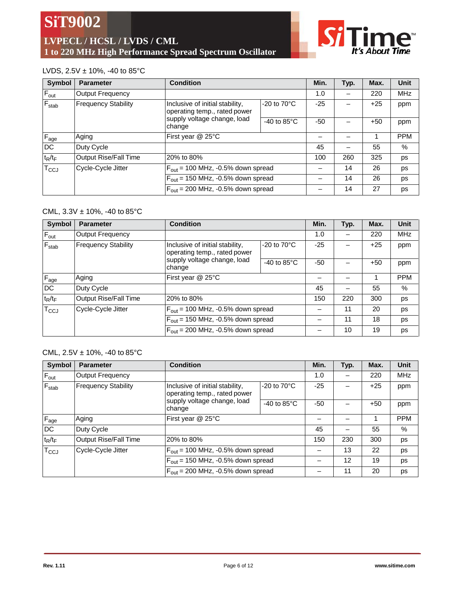**LVPECL / HCSL / LVDS / CML 1 to 220 MHz High Performance Spread Spectrum Oscillator**



## LVDS,  $2.5V \pm 10\%$ , -40 to  $85^{\circ}$ C

| <b>Symbol</b>    | <b>Parameter</b>             | <b>Condition</b>                                                                                                                                |                       | Min.  | Typ. | Max.  | <b>Unit</b> |
|------------------|------------------------------|-------------------------------------------------------------------------------------------------------------------------------------------------|-----------------------|-------|------|-------|-------------|
| $F_{\text{out}}$ | Output Frequency             |                                                                                                                                                 |                       | 1.0   |      | 220   | <b>MHz</b>  |
| $F_{stab}$       | <b>Frequency Stability</b>   | Inclusive of initial stability,<br>operating temp., rated power                                                                                 | -20 to $70^{\circ}$ C | $-25$ |      | $+25$ | ppm         |
|                  |                              | supply voltage change, load<br>change                                                                                                           | -40 to $85^{\circ}$ C | $-50$ |      | $+50$ | ppm         |
| $F_{\text{age}}$ | Aging                        | First year @ 25°C                                                                                                                               |                       |       |      |       | <b>PPM</b>  |
| DC               | Duty Cycle                   |                                                                                                                                                 |                       | 45    |      | 55    | $\%$        |
| $t_R/t_F$        | <b>Output Rise/Fall Time</b> | 20% to 80%                                                                                                                                      |                       | 100   | 260  | 325   | ps          |
| $T_{CCJ}$        | Cycle-Cycle Jitter           | $F_{\text{out}}$ = 100 MHz, -0.5% down spread<br>$F_{\text{out}}$ = 150 MHz, -0.5% down spread<br>$F_{\text{out}}$ = 200 MHz, -0.5% down spread |                       |       | 14   | 26    | ps          |
|                  |                              |                                                                                                                                                 |                       |       | 14   | 26    | ps          |
|                  |                              |                                                                                                                                                 |                       |       | 14   | 27    | ps          |

### CML,  $3.3V \pm 10\%$ , -40 to  $85^{\circ}$ C

| <b>Symbol</b>    | <b>Parameter</b>           | <b>Condition</b>                                                                                                                                |                       | Min.  | Typ. | Max.  | <b>Unit</b>   |
|------------------|----------------------------|-------------------------------------------------------------------------------------------------------------------------------------------------|-----------------------|-------|------|-------|---------------|
| $F_{\text{out}}$ | Output Frequency           |                                                                                                                                                 |                       | 1.0   |      | 220   | <b>MHz</b>    |
| $F_{stab}$       | <b>Frequency Stability</b> | $-20$ to $70^{\circ}$ C<br>Inclusive of initial stability,<br>operating temp., rated power                                                      |                       | $-25$ |      | $+25$ | ppm           |
|                  |                            | supply voltage change, load<br>change                                                                                                           | -40 to $85^{\circ}$ C | $-50$ |      | $+50$ | ppm           |
| $F_{\text{age}}$ | Aging                      | First year @ 25°C                                                                                                                               |                       |       |      |       | <b>PPM</b>    |
| DC               | Duty Cycle                 |                                                                                                                                                 |                       | 45    |      | 55    | $\frac{0}{0}$ |
| $t_R/t_F$        | Output Rise/Fall Time      | 20% to 80%                                                                                                                                      |                       | 150   | 220  | 300   | ps            |
| $T_{\text{CCJ}}$ | Cycle-Cycle Jitter         | $F_{\text{out}}$ = 100 MHz, -0.5% down spread<br>$F_{\text{out}}$ = 150 MHz, -0.5% down spread<br>$F_{\text{out}}$ = 200 MHz, -0.5% down spread |                       |       | 11   | 20    | ps            |
|                  |                            |                                                                                                                                                 |                       |       | 11   | 18    | ps            |
|                  |                            |                                                                                                                                                 |                       |       | 10   | 19    | ps            |

## CML,  $2.5V \pm 10\%$ , -40 to  $85^{\circ}$ C

| <b>Symbol</b>    | <b>Parameter</b>           | <b>Condition</b>                                                                                                                                |                         | Min.  | Typ. | Max.  | Unit       |
|------------------|----------------------------|-------------------------------------------------------------------------------------------------------------------------------------------------|-------------------------|-------|------|-------|------------|
| $F_{\text{out}}$ | Output Frequency           |                                                                                                                                                 |                         | 1.0   |      | 220   | <b>MHz</b> |
| $F_{stab}$       | <b>Frequency Stability</b> | Inclusive of initial stability,<br>operating temp., rated power                                                                                 | $-20$ to $70^{\circ}$ C | $-25$ |      | $+25$ | ppm        |
|                  |                            | supply voltage change, load<br>change                                                                                                           | -40 to $85^{\circ}$ C   | $-50$ |      | $+50$ | ppm        |
| $F_{\text{age}}$ | Aging                      | First year @ 25°C                                                                                                                               |                         |       |      |       | <b>PPM</b> |
| DC               | Duty Cycle                 |                                                                                                                                                 |                         | 45    |      | 55    | $\%$       |
| $t_R/t_F$        | Output Rise/Fall Time      | 20% to 80%                                                                                                                                      |                         | 150   | 230  | 300   | ps         |
| $T_{CCJ}$        | Cycle-Cycle Jitter         | $F_{\text{out}}$ = 100 MHz, -0.5% down spread<br>$F_{\text{out}}$ = 150 MHz, -0.5% down spread<br>$F_{\text{out}}$ = 200 MHz, -0.5% down spread |                         |       | 13   | 22    | ps         |
|                  |                            |                                                                                                                                                 |                         |       | 12   | 19    | ps         |
|                  |                            |                                                                                                                                                 |                         |       | 11   | 20    | ps         |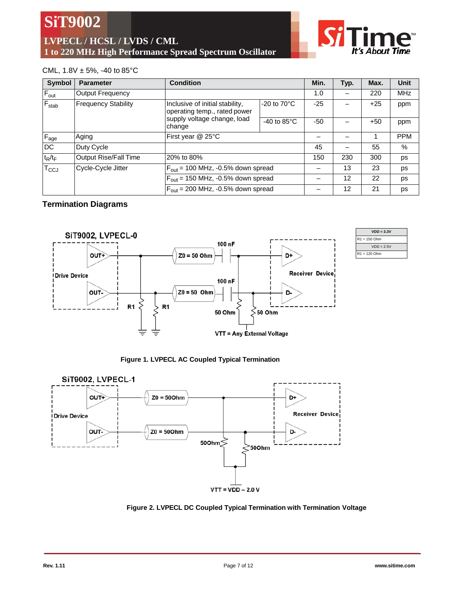**SiT9002 LVPECL / HCSL / LVDS / CML 1 to 220 MHz High Performance Spread Spectrum Oscillator**

### CML,  $1.8V \pm 5\%$ , -40 to 85°C

| <b>Symbol</b>    | <b>Parameter</b>                                                                              | <b>Condition</b>                              |                         | Min.  | Typ. | Max.  | Unit       |
|------------------|-----------------------------------------------------------------------------------------------|-----------------------------------------------|-------------------------|-------|------|-------|------------|
| $F_{\text{out}}$ | <b>Output Frequency</b>                                                                       |                                               |                         | 1.0   |      | 220   | <b>MHz</b> |
| $F_{stab}$       | <b>Frequency Stability</b><br>Inclusive of initial stability,<br>operating temp., rated power |                                               | $-20$ to $70^{\circ}$ C | $-25$ |      | $+25$ | ppm        |
|                  |                                                                                               | supply voltage change, load<br>change         | -40 to $85^{\circ}$ C   | $-50$ |      | $+50$ | ppm        |
| $F_{age}$        | Aging                                                                                         | First year @ 25°C                             |                         |       |      |       | <b>PPM</b> |
| DC               | Duty Cycle                                                                                    |                                               |                         | 45    |      | 55    | %          |
| $t_R/t_F$        | <b>Output Rise/Fall Time</b>                                                                  | 20% to 80%                                    |                         | 150   | 230  | 300   | ps         |
| $T_{\rm CCJ}$    | Cycle-Cycle Jitter                                                                            | $F_{\text{out}}$ = 100 MHz, -0.5% down spread |                         |       | 13   | 23    | ps         |
|                  |                                                                                               | $F_{\text{out}}$ = 150 MHz, -0.5% down spread |                         |       | 12   | 22    | ps         |
|                  | $F_{\text{out}}$ = 200 MHz, -0.5% down spread                                                 |                                               |                         | 12    | 21   | ps    |            |

#### **Termination Diagrams**



| $VDD = 3.3V$   |
|----------------|
| $R1 = 150$ Ohm |
| $VDD = 2.5V$   |
| $R1 = 120$ Ohm |

It's About Time

**Figure 1. LVPECL AC Coupled Typical Termination**



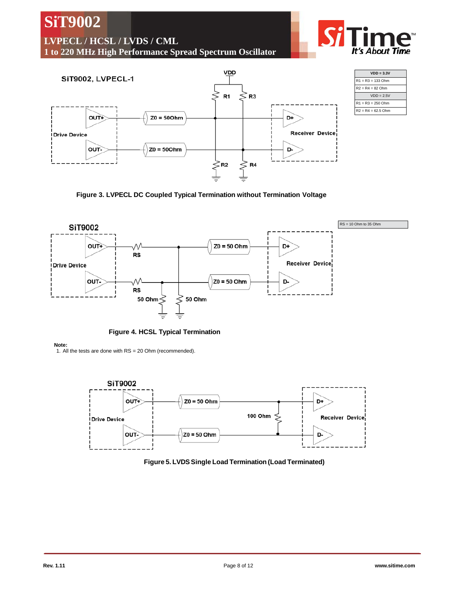D+



 $Z0 = 50$  Ohm









It's About Time

**SiT9002**

## **LVPECL / HCSL / LVDS / CML**

**1 to 220 MHz High Performance Spread Spectrum Oscillator**

**Note:** 1. All the tests are done with RS = 20 Ohm (recommended).

**SiT9002** 

**OUT+**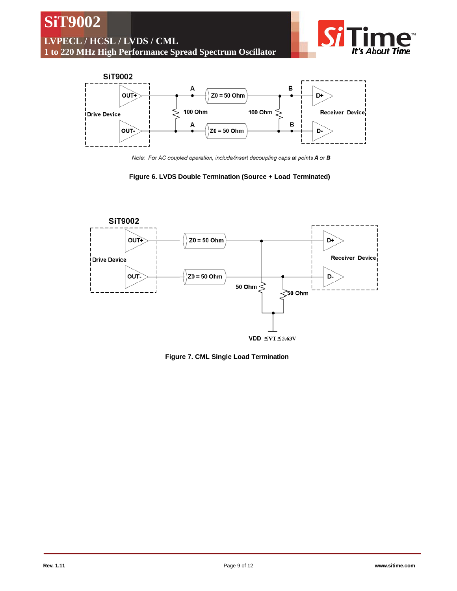

Note: For AC coupled operation, include/insert decoupling caps at points A or B





**Figure 7. CML Single Load Termination**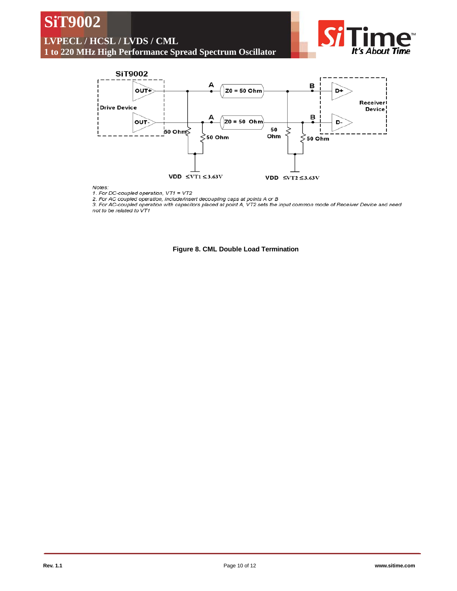# **SiT9002**

# **LVPECL / HCSL / LVDS / CML**

**1 to 220 MHz High Performance Spread Spectrum Oscillator**





#### Notes:

1. For DC-coupled operation, VT1 = VT2

2. For AC coupled operation, include/insert decoupling caps at points A or B

3. For AC-coupled operation with capacitors placed at point A, VT2 sets the input common mode of Receiver Device and need not to be related to VT1

**Figure 8. CML Double Load Termination**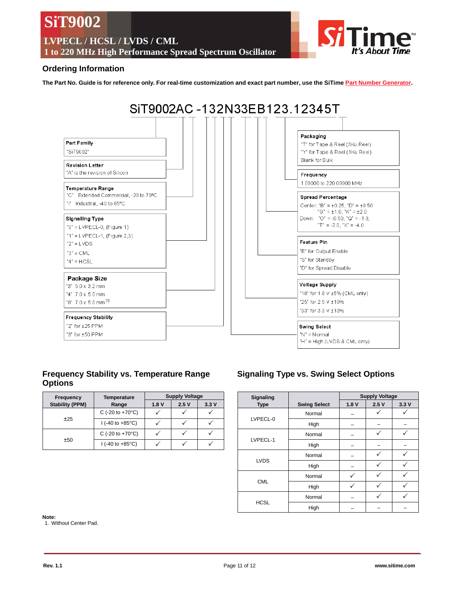**SiT9002 LVPECL / HCSL / LVDS / CML 1 to 220 MHz High Performance Spread Spectrum Oscillator** t**'s** About **Tim**e

#### **Ordering Information**

The Part No. Guide is for reference only. For real-time customization and exact part number, use the SiTime Part Number [Generator.](http://www.sitime.com/products/sit9002.php#calc)



## **Frequency Stability vs. Temperature Range Options**

| Frequency              | <b>Temperature</b>                        | <b>Supply Voltage</b> |      |      |  |  |
|------------------------|-------------------------------------------|-----------------------|------|------|--|--|
| <b>Stability (PPM)</b> | Range                                     | 1.8V                  | 2.5V | 3.3V |  |  |
|                        | C (-20 to +70 $^{\circ}$ C)               |                       |      |      |  |  |
| ±25                    | $1(-40 \text{ to } +85^{\circ} \text{C})$ |                       |      |      |  |  |
|                        | C (-20 to +70 $^{\circ}$ C)               |                       |      |      |  |  |
| ±50                    | $1(-40 \text{ to } +85^{\circ}C)$         |                       |      |      |  |  |

## **Signaling Type vs. Swing Select Options**

| <b>Signaling</b> |                     | <b>Supply Voltage</b> |      |      |  |
|------------------|---------------------|-----------------------|------|------|--|
| <b>Type</b>      | <b>Swing Select</b> | 1.8V                  | 2.5V | 3.3V |  |
|                  | Normal              |                       |      |      |  |
| LVPECL-0         | High                |                       |      |      |  |
|                  | Normal              |                       |      |      |  |
| LVPECL-1         | High                |                       |      |      |  |
|                  | Normal              |                       |      |      |  |
| <b>LVDS</b>      | High                |                       |      |      |  |
|                  | Normal              |                       |      |      |  |
| <b>CML</b>       | High                |                       |      |      |  |
|                  | Normal              |                       |      |      |  |
| <b>HCSL</b>      | High                |                       |      |      |  |

**Note:**

1. Without Center Pad.